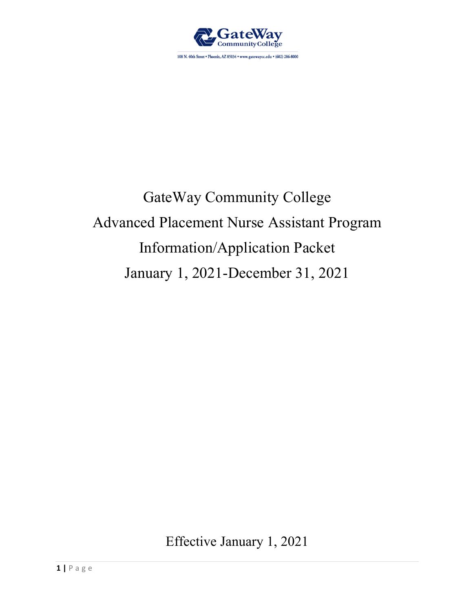

# GateWay Community College Advanced Placement Nurse Assistant Program Information/Application Packet January 1, 2021-December 31, 2021

Effective January 1, 2021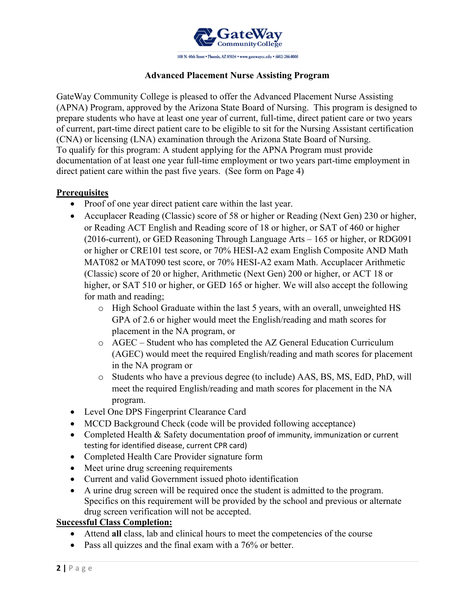

## **Advanced Placement Nurse Assisting Program**

GateWay Community College is pleased to offer the Advanced Placement Nurse Assisting (APNA) Program, approved by the Arizona State Board of Nursing. This program is designed to prepare students who have at least one year of current, full-time, direct patient care or two years of current, part-time direct patient care to be eligible to sit for the Nursing Assistant certification (CNA) or licensing (LNA) examination through the Arizona State Board of Nursing. To qualify for this program: A student applying for the APNA Program must provide documentation of at least one year full-time employment or two years part-time employment in direct patient care within the past five years. (See form on Page 4)

## **Prerequisites**

- Proof of one year direct patient care within the last year.
- Accuplacer Reading (Classic) score of 58 or higher or Reading (Next Gen) 230 or higher, or Reading ACT English and Reading score of 18 or higher, or SAT of 460 or higher (2016-current), or GED Reasoning Through Language Arts – 165 or higher, or RDG091 or higher or CRE101 test score, or 70% HESI-A2 exam English Composite AND Math MAT082 or MAT090 test score, or 70% HESI-A2 exam Math. Accuplacer Arithmetic (Classic) score of 20 or higher, Arithmetic (Next Gen) 200 or higher, or ACT 18 or higher, or SAT 510 or higher, or GED 165 or higher. We will also accept the following for math and reading;
	- o High School Graduate within the last 5 years, with an overall, unweighted HS GPA of 2.6 or higher would meet the English/reading and math scores for placement in the NA program, or
	- o AGEC Student who has completed the AZ General Education Curriculum (AGEC) would meet the required English/reading and math scores for placement in the NA program or
	- o Students who have a previous degree (to include) AAS, BS, MS, EdD, PhD, will meet the required English/reading and math scores for placement in the NA program.
- Level One DPS Fingerprint Clearance Card
- MCCD Background Check (code will be provided following acceptance)
- Completed Health & Safety documentation proof of immunity, immunization or current testing for identified disease, current CPR card)
- Completed Health Care Provider signature form
- Meet urine drug screening requirements
- Current and valid Government issued photo identification
- A urine drug screen will be required once the student is admitted to the program. Specifics on this requirement will be provided by the school and previous or alternate drug screen verification will not be accepted.

#### **Successful Class Completion:**

- Attend **all** class, lab and clinical hours to meet the competencies of the course
- Pass all quizzes and the final exam with a 76% or better.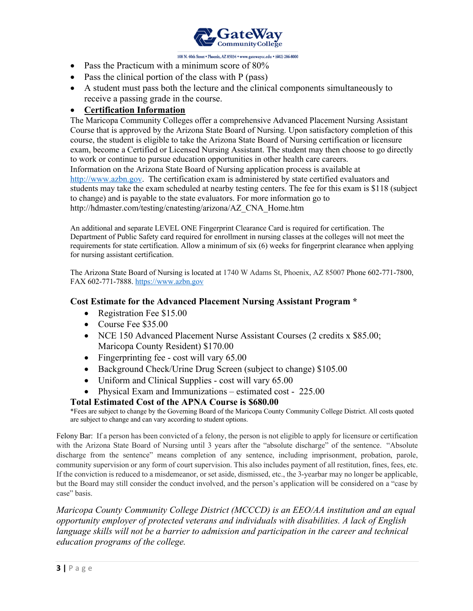

- 
- Pass the Practicum with a minimum score of 80%
- Pass the clinical portion of the class with P (pass)
- A student must pass both the lecture and the clinical components simultaneously to receive a passing grade in the course.

#### • **Certification Information**

The Maricopa Community Colleges offer a comprehensive Advanced Placement Nursing Assistant Course that is approved by the Arizona State Board of Nursing. Upon satisfactory completion of this course, the student is eligible to take the Arizona State Board of Nursing certification or licensure exam, become a Certified or Licensed Nursing Assistant. The student may then choose to go directly to work or continue to pursue education opportunities in other health care careers. Information on the Arizona State Board of Nursing application process is available at http://www.azbn.gov. The certification exam is administered by state certified evaluators and students may take the exam scheduled at nearby testing centers. The fee for this exam is \$118 (subject to change) and is payable to the state evaluators. For more information go to http://hdmaster.com/testing/cnatesting/arizona/AZ\_CNA\_Home.htm

An additional and separate LEVEL ONE Fingerprint Clearance Card is required for certification. The Department of Public Safety card required for enrollment in nursing classes at the colleges will not meet the requirements for state certification. Allow a minimum of six (6) weeks for fingerprint clearance when applying for nursing assistant certification.

The Arizona State Board of Nursing is located at 1740 W Adams St, Phoenix, AZ 85007 Phone 602-771-7800, FAX 602-771-7888. https://www.azbn.gov

#### **Cost Estimate for the Advanced Placement Nursing Assistant Program \***

- Registration Fee \$15.00
- Course Fee \$35.00
- NCE 150 Advanced Placement Nurse Assistant Courses (2 credits x \$85.00; Maricopa County Resident) \$170.00
- Fingerprinting fee cost will vary 65.00
- Background Check/Urine Drug Screen (subject to change) \$105.00
- Uniform and Clinical Supplies cost will vary 65.00
- Physical Exam and Immunizations estimated cost 225.00

#### **Total Estimated Cost of the APNA Course is \$680.00**

\*Fees are subject to change by the Governing Board of the Maricopa County Community College District. All costs quoted are subject to change and can vary according to student options.

Felony Bar: If a person has been convicted of a felony, the person is not eligible to apply for licensure or certification with the Arizona State Board of Nursing until 3 years after the "absolute discharge" of the sentence. "Absolute discharge from the sentence" means completion of any sentence, including imprisonment, probation, parole, community supervision or any form of court supervision. This also includes payment of all restitution, fines, fees, etc. If the conviction is reduced to a misdemeanor, or set aside, dismissed, etc., the 3-yearbar may no longer be applicable, but the Board may still consider the conduct involved, and the person's application will be considered on a "case by case" basis.

*Maricopa County Community College District (MCCCD) is an EEO/AA institution and an equal opportunity employer of protected veterans and individuals with disabilities. A lack of English*  language skills will not be a barrier to admission and participation in the career and technical *education programs of the college.*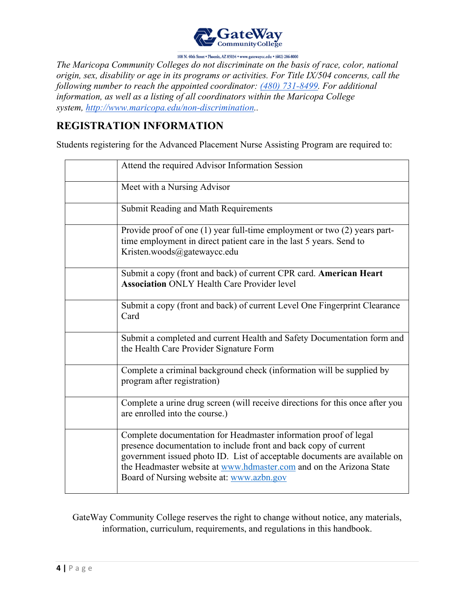

*The Maricopa Community Colleges do not discriminate on the basis of race, color, national origin, sex, disability or age in its programs or activities. For Title IX/504 concerns, call the following number to reach the appointed coordinator: (480) 731-8499. For additional information, as well as a listing of all coordinators within the Maricopa College system, http://www.maricopa.edu/non-discrimination..*

# **REGISTRATION INFORMATION**

Students registering for the Advanced Placement Nurse Assisting Program are required to:

| Attend the required Advisor Information Session                                                                                                                                                                                                                                                                                       |
|---------------------------------------------------------------------------------------------------------------------------------------------------------------------------------------------------------------------------------------------------------------------------------------------------------------------------------------|
| Meet with a Nursing Advisor                                                                                                                                                                                                                                                                                                           |
| Submit Reading and Math Requirements                                                                                                                                                                                                                                                                                                  |
| Provide proof of one $(1)$ year full-time employment or two $(2)$ years part-<br>time employment in direct patient care in the last 5 years. Send to<br>Kristen.woods@gatewaycc.edu                                                                                                                                                   |
| Submit a copy (front and back) of current CPR card. American Heart<br><b>Association ONLY Health Care Provider level</b>                                                                                                                                                                                                              |
| Submit a copy (front and back) of current Level One Fingerprint Clearance<br>Card                                                                                                                                                                                                                                                     |
| Submit a completed and current Health and Safety Documentation form and<br>the Health Care Provider Signature Form                                                                                                                                                                                                                    |
| Complete a criminal background check (information will be supplied by<br>program after registration)                                                                                                                                                                                                                                  |
| Complete a urine drug screen (will receive directions for this once after you<br>are enrolled into the course.)                                                                                                                                                                                                                       |
| Complete documentation for Headmaster information proof of legal<br>presence documentation to include front and back copy of current<br>government issued photo ID. List of acceptable documents are available on<br>the Headmaster website at www.hdmaster.com and on the Arizona State<br>Board of Nursing website at: www.azbn.gov |

GateWay Community College reserves the right to change without notice, any materials, information, curriculum, requirements, and regulations in this handbook.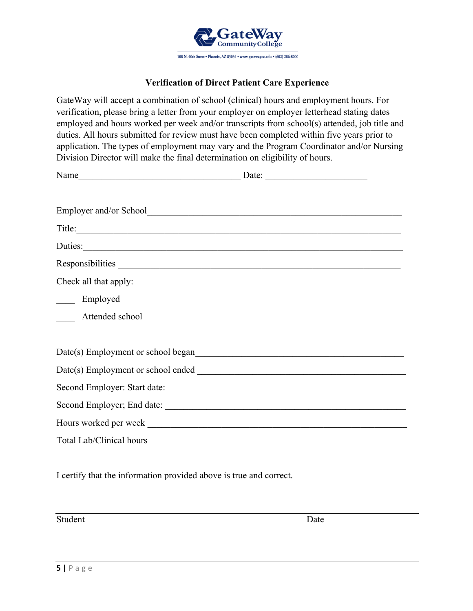

## **Verification of Direct Patient Care Experience**

GateWay will accept a combination of school (clinical) hours and employment hours. For verification, please bring a letter from your employer on employer letterhead stating dates employed and hours worked per week and/or transcripts from school(s) attended, job title and duties. All hours submitted for review must have been completed within five years prior to application. The types of employment may vary and the Program Coordinator and/or Nursing Division Director will make the final determination on eligibility of hours.

| Name                                                                                                                                                                                                                          | Date: |  |
|-------------------------------------------------------------------------------------------------------------------------------------------------------------------------------------------------------------------------------|-------|--|
|                                                                                                                                                                                                                               |       |  |
|                                                                                                                                                                                                                               |       |  |
|                                                                                                                                                                                                                               |       |  |
| Duties: Note and the contract of the contract of the contract of the contract of the contract of the contract of the contract of the contract of the contract of the contract of the contract of the contract of the contract |       |  |
| Responsibilities                                                                                                                                                                                                              |       |  |
| Check all that apply:                                                                                                                                                                                                         |       |  |
| ____ Employed                                                                                                                                                                                                                 |       |  |
| Attended school                                                                                                                                                                                                               |       |  |
|                                                                                                                                                                                                                               |       |  |
| Date(s) Employment or school began<br><u>Date(s)</u> Employment or school began                                                                                                                                               |       |  |
|                                                                                                                                                                                                                               |       |  |
|                                                                                                                                                                                                                               |       |  |
|                                                                                                                                                                                                                               |       |  |
|                                                                                                                                                                                                                               |       |  |
|                                                                                                                                                                                                                               |       |  |
|                                                                                                                                                                                                                               |       |  |

I certify that the information provided above is true and correct.

Student Date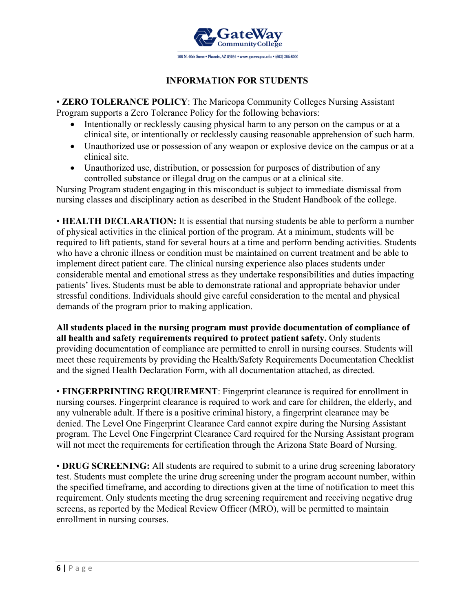

## **INFORMATION FOR STUDENTS**

• **ZERO TOLERANCE POLICY**: The Maricopa Community Colleges Nursing Assistant Program supports a Zero Tolerance Policy for the following behaviors:

- Intentionally or recklessly causing physical harm to any person on the campus or at a clinical site, or intentionally or recklessly causing reasonable apprehension of such harm.
- Unauthorized use or possession of any weapon or explosive device on the campus or at a clinical site.
- Unauthorized use, distribution, or possession for purposes of distribution of any controlled substance or illegal drug on the campus or at a clinical site.

Nursing Program student engaging in this misconduct is subject to immediate dismissal from nursing classes and disciplinary action as described in the Student Handbook of the college.

• **HEALTH DECLARATION:** It is essential that nursing students be able to perform a number of physical activities in the clinical portion of the program. At a minimum, students will be required to lift patients, stand for several hours at a time and perform bending activities. Students who have a chronic illness or condition must be maintained on current treatment and be able to implement direct patient care. The clinical nursing experience also places students under considerable mental and emotional stress as they undertake responsibilities and duties impacting patients' lives. Students must be able to demonstrate rational and appropriate behavior under stressful conditions. Individuals should give careful consideration to the mental and physical demands of the program prior to making application.

**All students placed in the nursing program must provide documentation of compliance of all health and safety requirements required to protect patient safety.** Only students providing documentation of compliance are permitted to enroll in nursing courses. Students will meet these requirements by providing the Health/Safety Requirements Documentation Checklist and the signed Health Declaration Form, with all documentation attached, as directed.

• **FINGERPRINTING REQUIREMENT**: Fingerprint clearance is required for enrollment in nursing courses. Fingerprint clearance is required to work and care for children, the elderly, and any vulnerable adult. If there is a positive criminal history, a fingerprint clearance may be denied. The Level One Fingerprint Clearance Card cannot expire during the Nursing Assistant program. The Level One Fingerprint Clearance Card required for the Nursing Assistant program will not meet the requirements for certification through the Arizona State Board of Nursing.

• **DRUG SCREENING:** All students are required to submit to a urine drug screening laboratory test. Students must complete the urine drug screening under the program account number, within the specified timeframe, and according to directions given at the time of notification to meet this requirement. Only students meeting the drug screening requirement and receiving negative drug screens, as reported by the Medical Review Officer (MRO), will be permitted to maintain enrollment in nursing courses.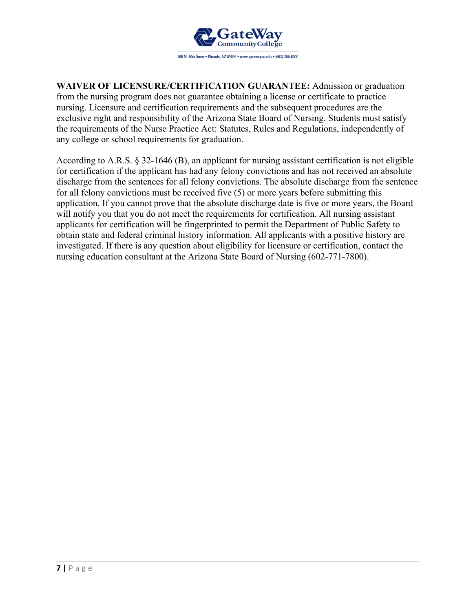

**WAIVER OF LICENSURE/CERTIFICATION GUARANTEE:** Admission or graduation from the nursing program does not guarantee obtaining a license or certificate to practice nursing. Licensure and certification requirements and the subsequent procedures are the exclusive right and responsibility of the Arizona State Board of Nursing. Students must satisfy the requirements of the Nurse Practice Act: Statutes, Rules and Regulations, independently of any college or school requirements for graduation.

According to A.R.S.  $\S 32$ -1646 (B), an applicant for nursing assistant certification is not eligible for certification if the applicant has had any felony convictions and has not received an absolute discharge from the sentences for all felony convictions. The absolute discharge from the sentence for all felony convictions must be received five (5) or more years before submitting this application. If you cannot prove that the absolute discharge date is five or more years, the Board will notify you that you do not meet the requirements for certification. All nursing assistant applicants for certification will be fingerprinted to permit the Department of Public Safety to obtain state and federal criminal history information. All applicants with a positive history are investigated. If there is any question about eligibility for licensure or certification, contact the nursing education consultant at the Arizona State Board of Nursing (602-771-7800).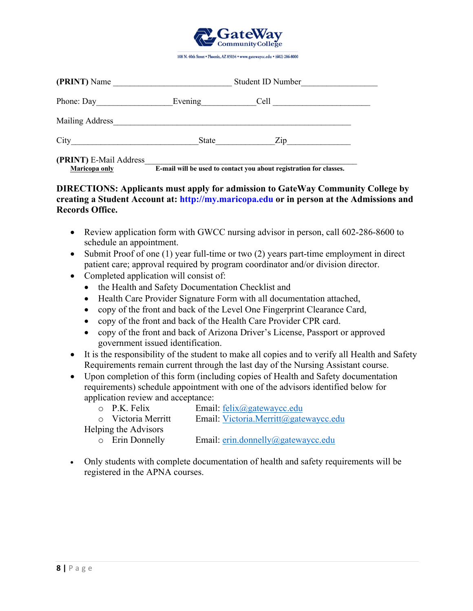

| (PRINT) Name                                   | <b>Student ID Number</b> |                                                                    |  |
|------------------------------------------------|--------------------------|--------------------------------------------------------------------|--|
| Phone: Day                                     | Evening                  | Cell                                                               |  |
| Mailing Address                                |                          |                                                                    |  |
| City                                           | State                    | Zip                                                                |  |
| (PRINT) E-Mail Address<br><b>Maricopa only</b> |                          | E-mail will be used to contact you about registration for classes. |  |

## **DIRECTIONS: Applicants must apply for admission to GateWay Community College by creating a Student Account at: http://my.maricopa.edu or in person at the Admissions and Records Office.**

- Review application form with GWCC nursing advisor in person, call 602-286-8600 to schedule an appointment.
- Submit Proof of one (1) year full-time or two (2) years part-time employment in direct patient care; approval required by program coordinator and/or division director.
- Completed application will consist of:
	- the Health and Safety Documentation Checklist and
	- Health Care Provider Signature Form with all documentation attached,
	- copy of the front and back of the Level One Fingerprint Clearance Card,
	- copy of the front and back of the Health Care Provider CPR card.
	- copy of the front and back of Arizona Driver's License, Passport or approved government issued identification.
- It is the responsibility of the student to make all copies and to verify all Health and Safety Requirements remain current through the last day of the Nursing Assistant course.
- Upon completion of this form (including copies of Health and Safety documentation requirements) schedule appointment with one of the advisors identified below for application review and acceptance:
	- o P.K. Felix Email:  $felix@gatewaycc.edu$
	- o Victoria Merritt Email: Victoria.Merritt@gatewaycc.edu
	- Helping the Advisors
		- $\circ$  Erin Donnelly Email:  $\frac{1}{\text{[cm.donnelly]} \cdot \text{[cm.donnelly]} \cdot \text{[cm.dou)}}$
- Only students with complete documentation of health and safety requirements will be registered in the APNA courses.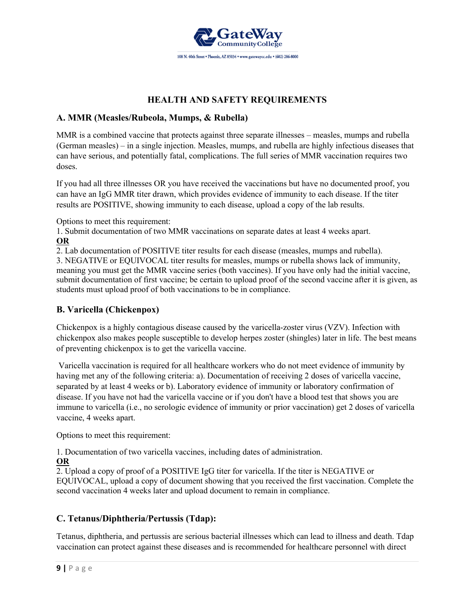

## **HEALTH AND SAFETY REQUIREMENTS**

## **A. MMR (Measles/Rubeola, Mumps, & Rubella)**

MMR is a combined vaccine that protects against three separate illnesses – measles, mumps and rubella (German measles) – in a single injection. Measles, mumps, and rubella are highly infectious diseases that can have serious, and potentially fatal, complications. The full series of MMR vaccination requires two doses.

If you had all three illnesses OR you have received the vaccinations but have no documented proof, you can have an IgG MMR titer drawn, which provides evidence of immunity to each disease. If the titer results are POSITIVE, showing immunity to each disease, upload a copy of the lab results.

Options to meet this requirement:

1. Submit documentation of two MMR vaccinations on separate dates at least 4 weeks apart. **OR**

2. Lab documentation of POSITIVE titer results for each disease (measles, mumps and rubella). 3. NEGATIVE or EQUIVOCAL titer results for measles, mumps or rubella shows lack of immunity, meaning you must get the MMR vaccine series (both vaccines). If you have only had the initial vaccine, submit documentation of first vaccine; be certain to upload proof of the second vaccine after it is given, as students must upload proof of both vaccinations to be in compliance.

## **B. Varicella (Chickenpox)**

Chickenpox is a highly contagious disease caused by the varicella-zoster virus (VZV). Infection with chickenpox also makes people susceptible to develop herpes zoster (shingles) later in life. The best means of preventing chickenpox is to get the varicella vaccine.

Varicella vaccination is required for all healthcare workers who do not meet evidence of immunity by having met any of the following criteria: a). Documentation of receiving 2 doses of varicella vaccine, separated by at least 4 weeks or b). Laboratory evidence of immunity or laboratory confirmation of disease. If you have not had the varicella vaccine or if you don't have a blood test that shows you are immune to varicella (i.e., no serologic evidence of immunity or prior vaccination) get 2 doses of varicella vaccine, 4 weeks apart.

Options to meet this requirement:

1. Documentation of two varicella vaccines, including dates of administration.

**OR** 

2. Upload a copy of proof of a POSITIVE IgG titer for varicella. If the titer is NEGATIVE or EQUIVOCAL, upload a copy of document showing that you received the first vaccination. Complete the second vaccination 4 weeks later and upload document to remain in compliance.

## **C. Tetanus/Diphtheria/Pertussis (Tdap):**

Tetanus, diphtheria, and pertussis are serious bacterial illnesses which can lead to illness and death. Tdap vaccination can protect against these diseases and is recommended for healthcare personnel with direct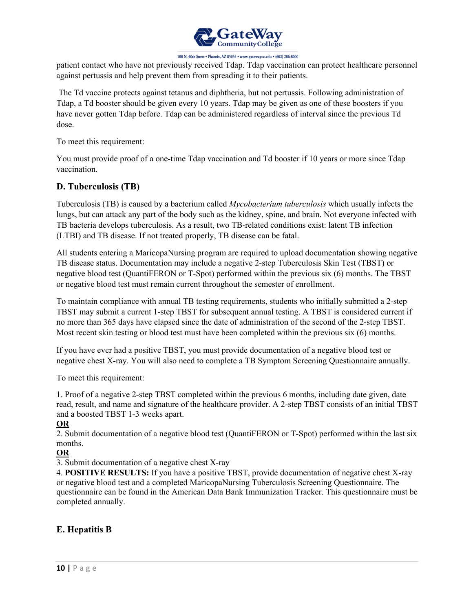

patient contact who have not previously received Tdap. Tdap vaccination can protect healthcare personnel against pertussis and help prevent them from spreading it to their patients.

The Td vaccine protects against tetanus and diphtheria, but not pertussis. Following administration of Tdap, a Td booster should be given every 10 years. Tdap may be given as one of these boosters if you have never gotten Tdap before. Tdap can be administered regardless of interval since the previous Td dose.

To meet this requirement:

You must provide proof of a one-time Tdap vaccination and Td booster if 10 years or more since Tdap vaccination.

## **D. Tuberculosis (TB)**

Tuberculosis (TB) is caused by a bacterium called *Mycobacterium tuberculosis* which usually infects the lungs, but can attack any part of the body such as the kidney, spine, and brain. Not everyone infected with TB bacteria develops tuberculosis. As a result, two TB-related conditions exist: latent TB infection (LTBI) and TB disease. If not treated properly, TB disease can be fatal.

All students entering a MaricopaNursing program are required to upload documentation showing negative TB disease status. Documentation may include a negative 2-step Tuberculosis Skin Test (TBST) or negative blood test (QuantiFERON or T-Spot) performed within the previous six (6) months. The TBST or negative blood test must remain current throughout the semester of enrollment.

To maintain compliance with annual TB testing requirements, students who initially submitted a 2-step TBST may submit a current 1-step TBST for subsequent annual testing. A TBST is considered current if no more than 365 days have elapsed since the date of administration of the second of the 2-step TBST. Most recent skin testing or blood test must have been completed within the previous six (6) months.

If you have ever had a positive TBST, you must provide documentation of a negative blood test or negative chest X-ray. You will also need to complete a TB Symptom Screening Questionnaire annually.

To meet this requirement:

1. Proof of a negative 2-step TBST completed within the previous 6 months, including date given, date read, result, and name and signature of the healthcare provider. A 2-step TBST consists of an initial TBST and a boosted TBST 1-3 weeks apart.

#### **OR**

2. Submit documentation of a negative blood test (QuantiFERON or T-Spot) performed within the last six months.

#### **OR**

3. Submit documentation of a negative chest X-ray

4. **POSITIVE RESULTS:** If you have a positive TBST, provide documentation of negative chest X-ray or negative blood test and a completed MaricopaNursing Tuberculosis Screening Questionnaire. The questionnaire can be found in the American Data Bank Immunization Tracker. This questionnaire must be completed annually.

## **E. Hepatitis B**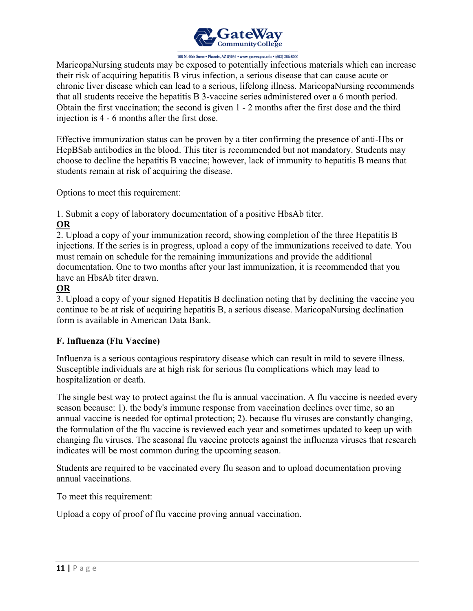

MaricopaNursing students may be exposed to potentially infectious materials which can increase their risk of acquiring hepatitis B virus infection, a serious disease that can cause acute or chronic liver disease which can lead to a serious, lifelong illness. MaricopaNursing recommends that all students receive the hepatitis B 3-vaccine series administered over a 6 month period. Obtain the first vaccination; the second is given 1 - 2 months after the first dose and the third injection is 4 - 6 months after the first dose.

Effective immunization status can be proven by a titer confirming the presence of anti-Hbs or HepBSab antibodies in the blood. This titer is recommended but not mandatory. Students may choose to decline the hepatitis B vaccine; however, lack of immunity to hepatitis B means that students remain at risk of acquiring the disease.

Options to meet this requirement:

1. Submit a copy of laboratory documentation of a positive HbsAb titer.

## **OR**

2. Upload a copy of your immunization record, showing completion of the three Hepatitis B injections. If the series is in progress, upload a copy of the immunizations received to date. You must remain on schedule for the remaining immunizations and provide the additional documentation. One to two months after your last immunization, it is recommended that you have an HbsAb titer drawn.

## **OR**

3. Upload a copy of your signed Hepatitis B declination noting that by declining the vaccine you continue to be at risk of acquiring hepatitis B, a serious disease. MaricopaNursing declination form is available in American Data Bank.

## **F. Influenza (Flu Vaccine)**

Influenza is a serious contagious respiratory disease which can result in mild to severe illness. Susceptible individuals are at high risk for serious flu complications which may lead to hospitalization or death.

The single best way to protect against the flu is annual vaccination. A flu vaccine is needed every season because: 1). the body's immune response from vaccination declines over time, so an annual vaccine is needed for optimal protection; 2). because flu viruses are constantly changing, the formulation of the flu vaccine is reviewed each year and sometimes updated to keep up with changing flu viruses. The seasonal flu vaccine protects against the influenza viruses that research indicates will be most common during the upcoming season.

Students are required to be vaccinated every flu season and to upload documentation proving annual vaccinations.

To meet this requirement:

Upload a copy of proof of flu vaccine proving annual vaccination.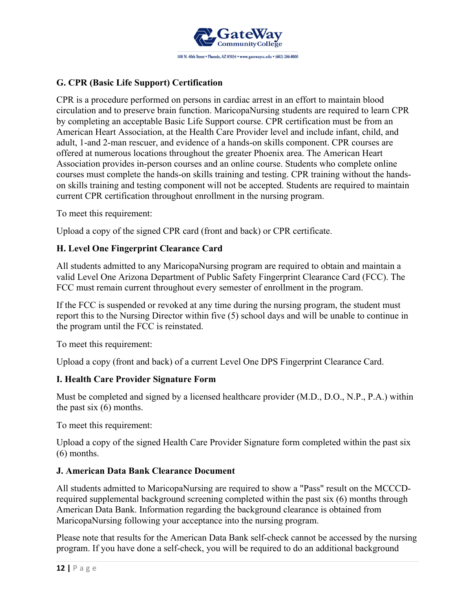

## **G. CPR (Basic Life Support) Certification**

CPR is a procedure performed on persons in cardiac arrest in an effort to maintain blood circulation and to preserve brain function. MaricopaNursing students are required to learn CPR by completing an acceptable Basic Life Support course. CPR certification must be from an American Heart Association, at the Health Care Provider level and include infant, child, and adult, 1-and 2-man rescuer, and evidence of a hands-on skills component. CPR courses are offered at numerous locations throughout the greater Phoenix area. The American Heart Association provides in-person courses and an online course. Students who complete online courses must complete the hands-on skills training and testing. CPR training without the handson skills training and testing component will not be accepted. Students are required to maintain current CPR certification throughout enrollment in the nursing program.

To meet this requirement:

Upload a copy of the signed CPR card (front and back) or CPR certificate.

## **H. Level One Fingerprint Clearance Card**

All students admitted to any MaricopaNursing program are required to obtain and maintain a valid Level One Arizona Department of Public Safety Fingerprint Clearance Card (FCC). The FCC must remain current throughout every semester of enrollment in the program.

If the FCC is suspended or revoked at any time during the nursing program, the student must report this to the Nursing Director within five (5) school days and will be unable to continue in the program until the FCC is reinstated.

To meet this requirement:

Upload a copy (front and back) of a current Level One DPS Fingerprint Clearance Card.

#### **I. Health Care Provider Signature Form**

Must be completed and signed by a licensed healthcare provider (M.D., D.O., N.P., P.A.) within the past six  $(6)$  months.

To meet this requirement:

Upload a copy of the signed Health Care Provider Signature form completed within the past six (6) months.

#### **J. American Data Bank Clearance Document**

All students admitted to MaricopaNursing are required to show a "Pass" result on the MCCCDrequired supplemental background screening completed within the past six (6) months through American Data Bank. Information regarding the background clearance is obtained from MaricopaNursing following your acceptance into the nursing program.

Please note that results for the American Data Bank self-check cannot be accessed by the nursing program. If you have done a self-check, you will be required to do an additional background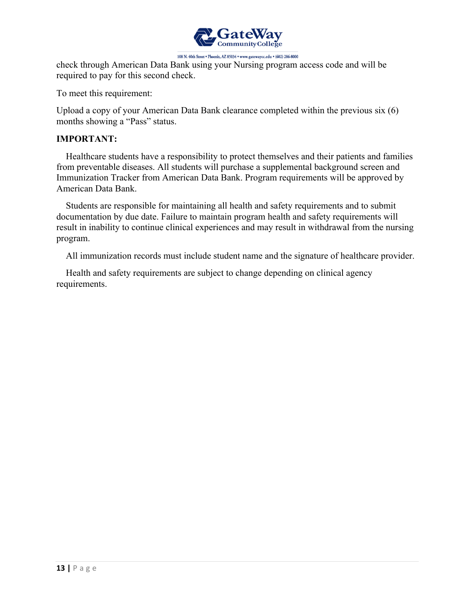

check through American Data Bank using your Nursing program access code and will be required to pay for this second check.

To meet this requirement:

Upload a copy of your American Data Bank clearance completed within the previous six (6) months showing a "Pass" status.

## **IMPORTANT:**

 Healthcare students have a responsibility to protect themselves and their patients and families from preventable diseases. All students will purchase a supplemental background screen and Immunization Tracker from American Data Bank. Program requirements will be approved by American Data Bank.

 Students are responsible for maintaining all health and safety requirements and to submit documentation by due date. Failure to maintain program health and safety requirements will result in inability to continue clinical experiences and may result in withdrawal from the nursing program.

All immunization records must include student name and the signature of healthcare provider.

 Health and safety requirements are subject to change depending on clinical agency requirements.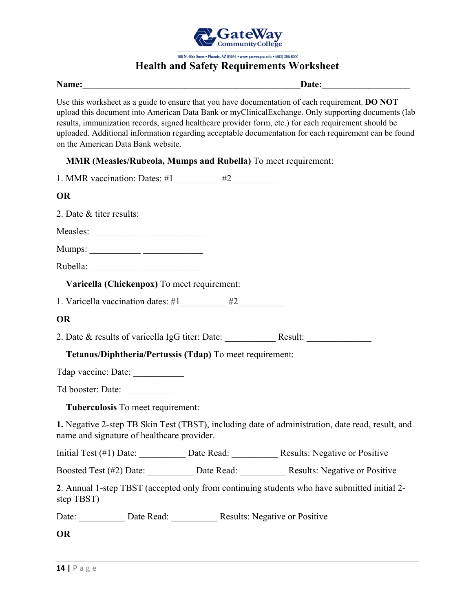

## **Health and Safety Requirements Worksheet**

| Name: | Date: |  |
|-------|-------|--|
|       |       |  |

Use this worksheet as a guide to ensure that you have documentation of each requirement. **DO NOT**  upload this document into American Data Bank or myClinicalExchange. Only supporting documents (lab results, immunization records, signed healthcare provider form, etc.) for each requirement should be uploaded. Additional information regarding acceptable documentation for each requirement can be found on the American Data Bank website.

## **MMR (Measles/Rubeola, Mumps and Rubella)** To meet requirement:

| 1. MMR vaccination: Dates: #1 $#2$                                                                                                             |                                                                                             |  |  |
|------------------------------------------------------------------------------------------------------------------------------------------------|---------------------------------------------------------------------------------------------|--|--|
| <b>OR</b>                                                                                                                                      |                                                                                             |  |  |
| 2. Date & titer results:                                                                                                                       |                                                                                             |  |  |
|                                                                                                                                                |                                                                                             |  |  |
|                                                                                                                                                |                                                                                             |  |  |
|                                                                                                                                                |                                                                                             |  |  |
| Varicella (Chickenpox) To meet requirement:                                                                                                    |                                                                                             |  |  |
| 1. Varicella vaccination dates: #1 ________ #2__________                                                                                       |                                                                                             |  |  |
| <b>OR</b>                                                                                                                                      |                                                                                             |  |  |
| 2. Date & results of varicella IgG titer: Date: Result:                                                                                        |                                                                                             |  |  |
| Tetanus/Diphtheria/Pertussis (Tdap) To meet requirement:                                                                                       |                                                                                             |  |  |
| Tdap vaccine: Date:                                                                                                                            |                                                                                             |  |  |
| Td booster: Date:                                                                                                                              |                                                                                             |  |  |
| Tuberculosis To meet requirement:                                                                                                              |                                                                                             |  |  |
| 1. Negative 2-step TB Skin Test (TBST), including date of administration, date read, result, and<br>name and signature of healthcare provider. |                                                                                             |  |  |
| Initial Test (#1) Date: ____________ Date Read: _____________ Results: Negative or Positive                                                    |                                                                                             |  |  |
| Boosted Test (#2) Date: ___________ Date Read: ____________ Results: Negative or Positive                                                      |                                                                                             |  |  |
| step TBST)                                                                                                                                     | 2. Annual 1-step TBST (accepted only from continuing students who have submitted initial 2- |  |  |
| Date: ____________ Date Read: ____________ Results: Negative or Positive                                                                       |                                                                                             |  |  |
| <b>OR</b>                                                                                                                                      |                                                                                             |  |  |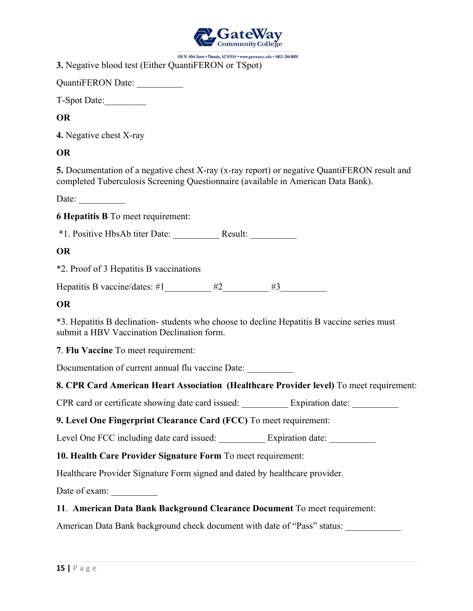

**3.** Negative blood test (Either QuantiFERON or TSpot)

QuantiFERON Date: \_\_\_\_\_\_\_\_\_\_\_\_\_

T-Spot Date:\_\_\_\_\_\_\_\_\_

## **OR**

**4.** Negative chest X-ray

## **OR**

**5.** Documentation of a negative chest X-ray (x-ray report) or negative QuantiFERON result and completed Tuberculosis Screening Questionnaire (available in American Data Bank).

Date:

**6 Hepatitis B** To meet requirement:

\*1. Positive HbsAb titer Date: \_\_\_\_\_\_\_\_\_\_ Result: \_\_\_\_\_\_\_\_\_\_

## **OR**

\*2. Proof of 3 Hepatitis B vaccinations

Hepatitis B vaccine/dates: #1\_\_\_\_\_\_\_\_\_\_ #2\_\_\_\_\_\_\_\_\_\_ #3\_\_\_\_\_\_\_\_\_\_

## **OR**

\*3. Hepatitis B declination- students who choose to decline Hepatitis B vaccine series must submit a HBV Vaccination Declination form.

**7**. **Flu Vaccine** To meet requirement:

Documentation of current annual flu vaccine Date:

## **8. CPR Card American Heart Association (Healthcare Provider level)** To meet requirement:

CPR card or certificate showing date card issued: Expiration date:

## **9. Level One Fingerprint Clearance Card (FCC)** To meet requirement:

Level One FCC including date card issued: Expiration date:

**10. Health Care Provider Signature Form** To meet requirement:

Healthcare Provider Signature Form signed and dated by healthcare provider.

Date of exam:

## **11**. **American Data Bank Background Clearance Document** To meet requirement:

American Data Bank background check document with date of "Pass" status: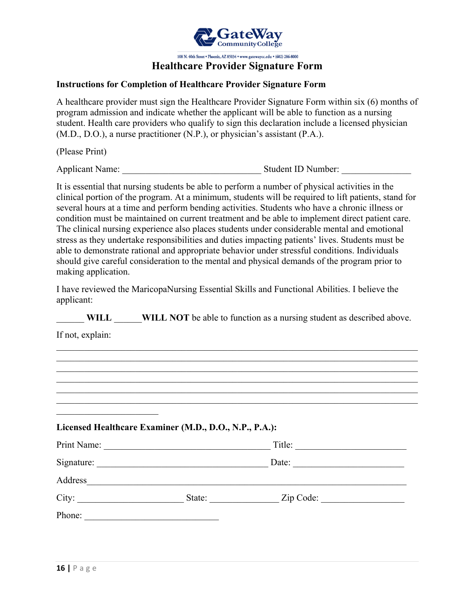

## **Healthcare Provider Signature Form**

#### **Instructions for Completion of Healthcare Provider Signature Form**

A healthcare provider must sign the Healthcare Provider Signature Form within six (6) months of program admission and indicate whether the applicant will be able to function as a nursing student. Health care providers who qualify to sign this declaration include a licensed physician (M.D., D.O.), a nurse practitioner (N.P.), or physician's assistant (P.A.).

(Please Print)

Applicant Name:  $\qquad \qquad$  Student ID Number:

It is essential that nursing students be able to perform a number of physical activities in the clinical portion of the program. At a minimum, students will be required to lift patients, stand for several hours at a time and perform bending activities. Students who have a chronic illness or condition must be maintained on current treatment and be able to implement direct patient care. The clinical nursing experience also places students under considerable mental and emotional stress as they undertake responsibilities and duties impacting patients' lives. Students must be able to demonstrate rational and appropriate behavior under stressful conditions. Individuals should give careful consideration to the mental and physical demands of the program prior to making application.

I have reviewed the MaricopaNursing Essential Skills and Functional Abilities. I believe the applicant:

**WILL WILL NOT** be able to function as a nursing student as described above.

If not, explain:

| Title:<br><u> 1989 - Johann Stein, mars an deus Amerikaansk kommunister (</u><br>Date: |
|----------------------------------------------------------------------------------------|
|                                                                                        |
|                                                                                        |
|                                                                                        |
| State: Zip Code:                                                                       |
|                                                                                        |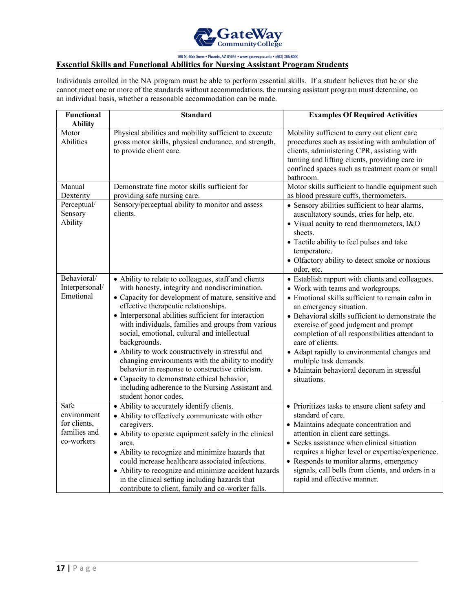

#### **Essential Skills and Functional Abilities for Nursing Assistant Program Students**

Individuals enrolled in the NA program must be able to perform essential skills. If a student believes that he or she cannot meet one or more of the standards without accommodations, the nursing assistant program must determine, on an individual basis, whether a reasonable accommodation can be made.

| Functional<br><b>Ability</b>                                      | <b>Standard</b>                                                                                                                                                                                                                                                                                                                                                                                                                                                                                                                                                                                                                                                            | <b>Examples Of Required Activities</b>                                                                                                                                                                                                                                                                                                                                                                                                                                         |
|-------------------------------------------------------------------|----------------------------------------------------------------------------------------------------------------------------------------------------------------------------------------------------------------------------------------------------------------------------------------------------------------------------------------------------------------------------------------------------------------------------------------------------------------------------------------------------------------------------------------------------------------------------------------------------------------------------------------------------------------------------|--------------------------------------------------------------------------------------------------------------------------------------------------------------------------------------------------------------------------------------------------------------------------------------------------------------------------------------------------------------------------------------------------------------------------------------------------------------------------------|
| Motor<br>Abilities                                                | Physical abilities and mobility sufficient to execute<br>gross motor skills, physical endurance, and strength,<br>to provide client care.                                                                                                                                                                                                                                                                                                                                                                                                                                                                                                                                  | Mobility sufficient to carry out client care<br>procedures such as assisting with ambulation of<br>clients, administering CPR, assisting with<br>turning and lifting clients, providing care in<br>confined spaces such as treatment room or small<br>bathroom.                                                                                                                                                                                                                |
| Manual<br>Dexterity                                               | Demonstrate fine motor skills sufficient for<br>providing safe nursing care.                                                                                                                                                                                                                                                                                                                                                                                                                                                                                                                                                                                               | Motor skills sufficient to handle equipment such<br>as blood pressure cuffs, thermometers.                                                                                                                                                                                                                                                                                                                                                                                     |
| Perceptual/<br>Sensory<br>Ability                                 | Sensory/perceptual ability to monitor and assess<br>clients.                                                                                                                                                                                                                                                                                                                                                                                                                                                                                                                                                                                                               | • Sensory abilities sufficient to hear alarms,<br>auscultatory sounds, cries for help, etc.<br>• Visual acuity to read thermometers, I&O<br>sheets.<br>• Tactile ability to feel pulses and take<br>temperature.<br>· Olfactory ability to detect smoke or noxious<br>odor, etc.                                                                                                                                                                                               |
| Behavioral/<br>Interpersonal/<br>Emotional                        | • Ability to relate to colleagues, staff and clients<br>with honesty, integrity and nondiscrimination.<br>• Capacity for development of mature, sensitive and<br>effective therapeutic relationships.<br>• Interpersonal abilities sufficient for interaction<br>with individuals, families and groups from various<br>social, emotional, cultural and intellectual<br>backgrounds.<br>• Ability to work constructively in stressful and<br>changing environments with the ability to modify<br>behavior in response to constructive criticism.<br>• Capacity to demonstrate ethical behavior,<br>including adherence to the Nursing Assistant and<br>student honor codes. | • Establish rapport with clients and colleagues.<br>• Work with teams and workgroups.<br>• Emotional skills sufficient to remain calm in<br>an emergency situation.<br>• Behavioral skills sufficient to demonstrate the<br>exercise of good judgment and prompt<br>completion of all responsibilities attendant to<br>care of clients.<br>• Adapt rapidly to environmental changes and<br>multiple task demands.<br>· Maintain behavioral decorum in stressful<br>situations. |
| Safe<br>environment<br>for clients,<br>families and<br>co-workers | • Ability to accurately identify clients.<br>• Ability to effectively communicate with other<br>caregivers.<br>• Ability to operate equipment safely in the clinical<br>area.<br>• Ability to recognize and minimize hazards that<br>could increase healthcare associated infections.<br>• Ability to recognize and minimize accident hazards<br>in the clinical setting including hazards that<br>contribute to client, family and co-worker falls.                                                                                                                                                                                                                       | • Prioritizes tasks to ensure client safety and<br>standard of care.<br>• Maintains adequate concentration and<br>attention in client care settings.<br>• Seeks assistance when clinical situation<br>requires a higher level or expertise/experience.<br>• Responds to monitor alarms, emergency<br>signals, call bells from clients, and orders in a<br>rapid and effective manner.                                                                                          |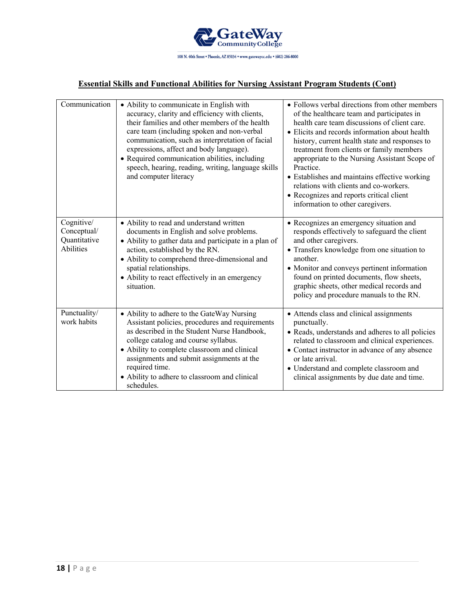

## **Essential Skills and Functional Abilities for Nursing Assistant Program Students (Cont)**

| Communication                                          | • Ability to communicate in English with<br>accuracy, clarity and efficiency with clients,<br>their families and other members of the health<br>care team (including spoken and non-verbal<br>communication, such as interpretation of facial<br>expressions, affect and body language).<br>• Required communication abilities, including<br>speech, hearing, reading, writing, language skills<br>and computer literacy | • Follows verbal directions from other members<br>of the healthcare team and participates in<br>health care team discussions of client care.<br>• Elicits and records information about health<br>history, current health state and responses to<br>treatment from clients or family members<br>appropriate to the Nursing Assistant Scope of<br>Practice.<br>• Establishes and maintains effective working<br>relations with clients and co-workers.<br>• Recognizes and reports critical client<br>information to other caregivers. |
|--------------------------------------------------------|--------------------------------------------------------------------------------------------------------------------------------------------------------------------------------------------------------------------------------------------------------------------------------------------------------------------------------------------------------------------------------------------------------------------------|---------------------------------------------------------------------------------------------------------------------------------------------------------------------------------------------------------------------------------------------------------------------------------------------------------------------------------------------------------------------------------------------------------------------------------------------------------------------------------------------------------------------------------------|
| Cognitive/<br>Conceptual/<br>Quantitative<br>Abilities | • Ability to read and understand written<br>documents in English and solve problems.<br>• Ability to gather data and participate in a plan of<br>action, established by the RN.<br>• Ability to comprehend three-dimensional and<br>spatial relationships.<br>• Ability to react effectively in an emergency<br>situation.                                                                                               | · Recognizes an emergency situation and<br>responds effectively to safeguard the client<br>and other caregivers.<br>• Transfers knowledge from one situation to<br>another.<br>• Monitor and conveys pertinent information<br>found on printed documents, flow sheets,<br>graphic sheets, other medical records and<br>policy and procedure manuals to the RN.                                                                                                                                                                        |
| Punctuality/<br>work habits                            | • Ability to adhere to the GateWay Nursing<br>Assistant policies, procedures and requirements<br>as described in the Student Nurse Handbook,<br>college catalog and course syllabus.<br>• Ability to complete classroom and clinical<br>assignments and submit assignments at the<br>required time.<br>• Ability to adhere to classroom and clinical<br>schedules.                                                       | • Attends class and clinical assignments<br>punctually.<br>• Reads, understands and adheres to all policies<br>related to classroom and clinical experiences.<br>• Contact instructor in advance of any absence<br>or late arrival.<br>• Understand and complete classroom and<br>clinical assignments by due date and time.                                                                                                                                                                                                          |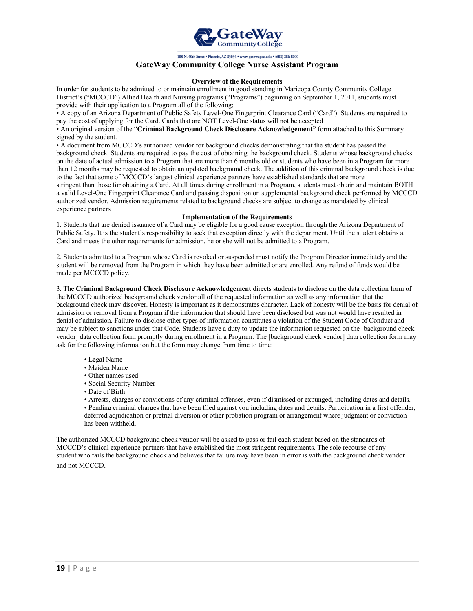

#### **GateWay Community College Nurse Assistant Program**

#### **Overview of the Requirements**

In order for students to be admitted to or maintain enrollment in good standing in Maricopa County Community College District's ("MCCCD") Allied Health and Nursing programs ("Programs") beginning on September 1, 2011, students must provide with their application to a Program all of the following:

• A copy of an Arizona Department of Public Safety Level-One Fingerprint Clearance Card ("Card"). Students are required to pay the cost of applying for the Card. Cards that are NOT Level-One status will not be accepted

• An original version of the "**Criminal Background Check Disclosure Acknowledgement"** form attached to this Summary signed by the student.

• A document from MCCCD's authorized vendor for background checks demonstrating that the student has passed the background check. Students are required to pay the cost of obtaining the background check. Students whose background checks on the date of actual admission to a Program that are more than 6 months old or students who have been in a Program for more than 12 months may be requested to obtain an updated background check. The addition of this criminal background check is due to the fact that some of MCCCD's largest clinical experience partners have established standards that are more stringent than those for obtaining a Card. At all times during enrollment in a Program, students must obtain and maintain BOTH a valid Level-One Fingerprint Clearance Card and passing disposition on supplemental background check performed by MCCCD authorized vendor. Admission requirements related to background checks are subject to change as mandated by clinical experience partners

#### **Implementation of the Requirements**

1. Students that are denied issuance of a Card may be eligible for a good cause exception through the Arizona Department of Public Safety. It is the student's responsibility to seek that exception directly with the department. Until the student obtains a Card and meets the other requirements for admission, he or she will not be admitted to a Program.

2. Students admitted to a Program whose Card is revoked or suspended must notify the Program Director immediately and the student will be removed from the Program in which they have been admitted or are enrolled. Any refund of funds would be made per MCCCD policy.

3. The **Criminal Background Check Disclosure Acknowledgement** directs students to disclose on the data collection form of the MCCCD authorized background check vendor all of the requested information as well as any information that the background check may discover. Honesty is important as it demonstrates character. Lack of honesty will be the basis for denial of admission or removal from a Program if the information that should have been disclosed but was not would have resulted in denial of admission. Failure to disclose other types of information constitutes a violation of the Student Code of Conduct and may be subject to sanctions under that Code. Students have a duty to update the information requested on the [background check vendor] data collection form promptly during enrollment in a Program. The [background check vendor] data collection form may ask for the following information but the form may change from time to time:

- Legal Name
- Maiden Name
- Other names used
- Social Security Number
- Date of Birth

• Arrests, charges or convictions of any criminal offenses, even if dismissed or expunged, including dates and details. • Pending criminal charges that have been filed against you including dates and details. Participation in a first offender, deferred adjudication or pretrial diversion or other probation program or arrangement where judgment or conviction has been withheld.

The authorized MCCCD background check vendor will be asked to pass or fail each student based on the standards of MCCCD's clinical experience partners that have established the most stringent requirements. The sole recourse of any student who fails the background check and believes that failure may have been in error is with the background check vendor and not MCCCD.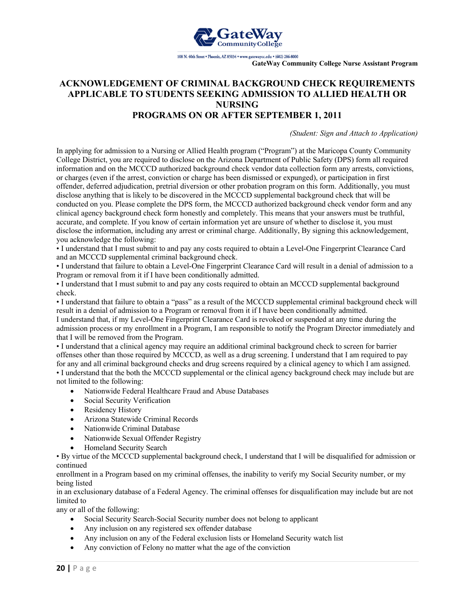

**GateWay Community College Nurse Assistant Program**

#### **ACKNOWLEDGEMENT OF CRIMINAL BACKGROUND CHECK REQUIREMENTS APPLICABLE TO STUDENTS SEEKING ADMISSION TO ALLIED HEALTH OR NURSING PROGRAMS ON OR AFTER SEPTEMBER 1, 2011**

*(Student: Sign and Attach to Application)*

In applying for admission to a Nursing or Allied Health program ("Program") at the Maricopa County Community College District, you are required to disclose on the Arizona Department of Public Safety (DPS) form all required information and on the MCCCD authorized background check vendor data collection form any arrests, convictions, or charges (even if the arrest, conviction or charge has been dismissed or expunged), or participation in first offender, deferred adjudication, pretrial diversion or other probation program on this form. Additionally, you must disclose anything that is likely to be discovered in the MCCCD supplemental background check that will be conducted on you. Please complete the DPS form, the MCCCD authorized background check vendor form and any clinical agency background check form honestly and completely. This means that your answers must be truthful, accurate, and complete. If you know of certain information yet are unsure of whether to disclose it, you must disclose the information, including any arrest or criminal charge. Additionally, By signing this acknowledgement, you acknowledge the following:

• I understand that I must submit to and pay any costs required to obtain a Level-One Fingerprint Clearance Card and an MCCCD supplemental criminal background check.

• I understand that failure to obtain a Level-One Fingerprint Clearance Card will result in a denial of admission to a Program or removal from it if I have been conditionally admitted.

• I understand that I must submit to and pay any costs required to obtain an MCCCD supplemental background check.

• I understand that failure to obtain a "pass" as a result of the MCCCD supplemental criminal background check will result in a denial of admission to a Program or removal from it if I have been conditionally admitted.

I understand that, if my Level-One Fingerprint Clearance Card is revoked or suspended at any time during the admission process or my enrollment in a Program, I am responsible to notify the Program Director immediately and that I will be removed from the Program.

• I understand that a clinical agency may require an additional criminal background check to screen for barrier offenses other than those required by MCCCD, as well as a drug screening. I understand that I am required to pay for any and all criminal background checks and drug screens required by a clinical agency to which I am assigned. • I understand that the both the MCCCD supplemental or the clinical agency background check may include but are not limited to the following:

- Nationwide Federal Healthcare Fraud and Abuse Databases
- Social Security Verification
- Residency History
- Arizona Statewide Criminal Records
- Nationwide Criminal Database
- Nationwide Sexual Offender Registry
- Homeland Security Search

• By virtue of the MCCCD supplemental background check, I understand that I will be disqualified for admission or continued

enrollment in a Program based on my criminal offenses, the inability to verify my Social Security number, or my being listed

in an exclusionary database of a Federal Agency. The criminal offenses for disqualification may include but are not limited to

any or all of the following:

- Social Security Search-Social Security number does not belong to applicant
- Any inclusion on any registered sex offender database
- Any inclusion on any of the Federal exclusion lists or Homeland Security watch list
- Any conviction of Felony no matter what the age of the conviction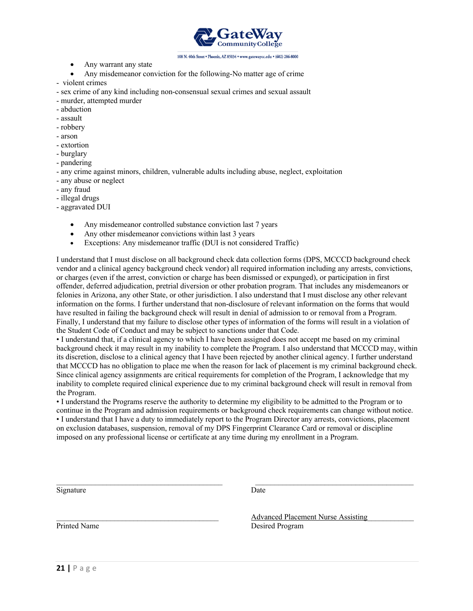

- Any warrant any state
- Any misdemeanor conviction for the following-No matter age of crime
- violent crimes
- sex crime of any kind including non-consensual sexual crimes and sexual assault
- murder, attempted murder
- abduction
- assault
- robbery
- arson
- extortion
- burglary
- pandering
- any crime against minors, children, vulnerable adults including abuse, neglect, exploitation
- any abuse or neglect
- any fraud
- illegal drugs
- aggravated DUI
	- Any misdemeanor controlled substance conviction last 7 years
	- Any other misdemeanor convictions within last 3 years
	- Exceptions: Any misdemeanor traffic (DUI is not considered Traffic)

I understand that I must disclose on all background check data collection forms (DPS, MCCCD background check vendor and a clinical agency background check vendor) all required information including any arrests, convictions, or charges (even if the arrest, conviction or charge has been dismissed or expunged), or participation in first offender, deferred adjudication, pretrial diversion or other probation program. That includes any misdemeanors or felonies in Arizona, any other State, or other jurisdiction. I also understand that I must disclose any other relevant information on the forms. I further understand that non-disclosure of relevant information on the forms that would have resulted in failing the background check will result in denial of admission to or removal from a Program. Finally, I understand that my failure to disclose other types of information of the forms will result in a violation of the Student Code of Conduct and may be subject to sanctions under that Code.

• I understand that, if a clinical agency to which I have been assigned does not accept me based on my criminal background check it may result in my inability to complete the Program. I also understand that MCCCD may, within its discretion, disclose to a clinical agency that I have been rejected by another clinical agency. I further understand that MCCCD has no obligation to place me when the reason for lack of placement is my criminal background check. Since clinical agency assignments are critical requirements for completion of the Program, I acknowledge that my inability to complete required clinical experience due to my criminal background check will result in removal from the Program.

• I understand the Programs reserve the authority to determine my eligibility to be admitted to the Program or to continue in the Program and admission requirements or background check requirements can change without notice. • I understand that I have a duty to immediately report to the Program Director any arrests, convictions, placement on exclusion databases, suspension, removal of my DPS Fingerprint Clearance Card or removal or discipline imposed on any professional license or certificate at any time during my enrollment in a Program.

 $\mathcal{L}_\text{max}$ 

Signature Date

Advanced Placement Nurse Assisting Printed Name Desired Program